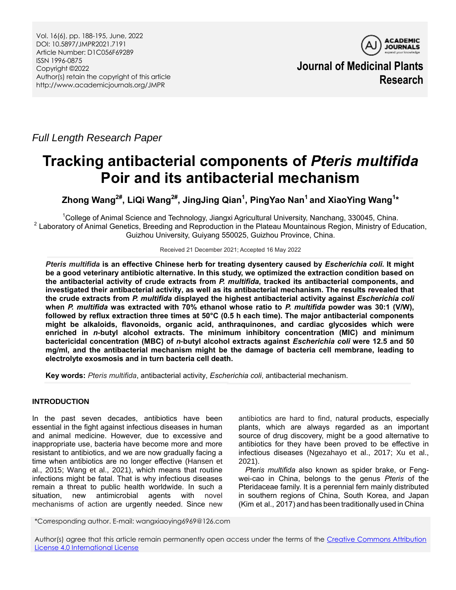

**Journal of Medicinal Plants Research**

*Full Length Research Paper*

# **Tracking antibacterial components of** *Pteris multifida*  **Poir and its antibacterial mechanism**

**Zhong Wang2#, LiQi Wang2#, JingJing Qian<sup>1</sup> , PingYao Nan<sup>1</sup> and XiaoYing Wang<sup>1</sup> \***

<sup>1</sup>College of Animal Science and Technology, Jiangxi Agricultural University, Nanchang, 330045, China. <sup>2</sup> Laboratory of Animal Genetics, Breeding and Reproduction in the Plateau Mountainous Region, Ministry of Education, Guizhou University, Guiyang 550025, Guizhou Province, China.

Received 21 December 2021; Accepted 16 May 2022

*Pteris multifida* **is an effective Chinese herb for treating dysentery caused by** *Escherichia coli***. It might be a good veterinary antibiotic alternative. In this study, we optimized the extraction condition based on the antibacterial activity of crude extracts from** *P. multifida***, tracked its antibacterial components, and investigated their antibacterial activity, as well as its antibacterial mechanism. The results revealed that the crude extracts from** *P. multifida* **displayed the highest antibacterial activity against** *Escherichia coli*  **when** *P. multifida* **was extracted with 70% ethanol whose ratio to** *P. multifida* **powder was 30:1 (V/W), followed by reflux extraction three times at 50°C (0.5 h each time). The major antibacterial components might be alkaloids, flavonoids, organic acid, anthraquinones, and cardiac glycosides which were enriched in** *n***-butyl alcohol extracts. The minimum inhibitory concentration (MIC) and minimum bactericidal concentration (MBC) of** *n***-butyl alcohol extracts against** *Escherichia coli* **were 12.5 and 50 mg/ml, and the antibacterial mechanism might be the damage of bacteria cell membrane, leading to electrolyte exosmosis and in turn bacteria cell death.** 

**Key words:** *Pteris multifida*, antibacterial activity, *Escherichia coli*, antibacterial mechanism.

# **INTRODUCTION**

In the past seven decades, antibiotics have been essential in the fight against infectious diseases in human and animal medicine. However, due to excessive and inappropriate use, bacteria have become more and more resistant to antibiotics, and we are now gradually facing a time when antibiotics are no longer effective (Hansen et al., 2015; Wang et al., 2021), which means that routine infections might be fatal. That is why infectious diseases remain a threat to public health worldwide. In such a situation, new antimicrobial agents with novel mechanisms of action are urgently needed. Since new

antibiotics are hard to find, natural products, especially plants, which are always regarded as an important source of drug discovery, might be a good alternative to antibiotics for they have been proved to be effective in infectious diseases (Ngezahayo et al., 2017; Xu et al., 2021).

*Pteris multifida* also known as spider brake, or Fengwei-cao in China, belongs to the genus *Pteris* of the Pteridaceae family. It is a perennial fern mainly distributed in southern regions of China, South Korea, and Japan (Kim et al., 2017) and has been traditionally used in China

\*Corresponding author. E-mail: wangxiaoying6969@126.com

Author(s) agree that this article remain permanently open access under the terms of the Creative Commons Attribution [License 4.0 International License](http://creativecommons.org/licenses/by/4.0/deed.en_US)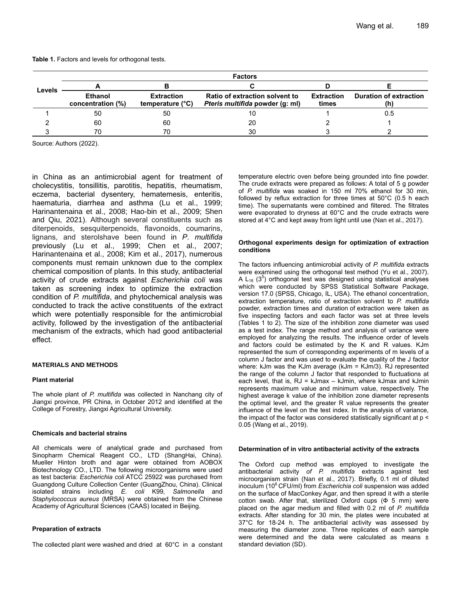| Levels | <b>Factors</b>                      |                                       |                                                                   |                            |                               |
|--------|-------------------------------------|---------------------------------------|-------------------------------------------------------------------|----------------------------|-------------------------------|
|        |                                     |                                       |                                                                   |                            |                               |
|        | <b>Ethanol</b><br>concentration (%) | <b>Extraction</b><br>temperature (°C) | Ratio of extraction solvent to<br>Pteris multifida powder (g: ml) | <b>Extraction</b><br>times | <b>Duration of extraction</b> |
|        | 50                                  | 50                                    |                                                                   |                            | 0.5                           |
|        | 60                                  | 60                                    | 20                                                                |                            |                               |
|        | 70                                  | 7Λ                                    | 30                                                                |                            |                               |

**Table 1.** Factors and levels for orthogonal tests.

Source: Authors (2022).

in China as an antimicrobial agent for treatment of cholecystitis, tonsillitis, parotitis, hepatitis, rheumatism, eczema, bacterial dysentery, hematemesis, enteritis, haematuria, diarrhea and asthma (Lu et al., 1999; Harinantenaina et al., 2008; Hao-bin et al., 2009; Shen and Qiu, 2021). Although several [constituents](file:///C:/Program%20Files%20(x86)/Youdao/Dict/7.5.2.0/resultui/dict/) such as diterpenoids, sesquiterpenoids, flavonoids, coumarins, lignans, and sterolshave been found in *P*. *multifida* previously (Lu et al., 1999; Chen et al., 2007; Harinantenaina et al., 2008; Kim et al., 2017), numerous components must remain unknown due to the complex chemical composition of plants. In this study, antibacterial activity of crude extracts against *Escherichia coli* was taken as screening index to optimize the extraction condition of *P. multifida*, and phytochemical analysis was conducted to track the active [constituents](file:///C:/Program%20Files%20(x86)/Youdao/Dict/7.5.2.0/resultui/dict/) of the extract which were potentially responsible for the antimicrobial activity, followed by the investigation of the antibacterial mechanism of the extracts, which had good antibacterial effect.

## **MATERIALS AND METHODS**

## **Plant material**

The whole plant of *P. multifida* was collected in Nanchang city of Jiangxi province, PR China, in October 2012 and identified at the College of Forestry, Jiangxi Agricultural University.

## **Chemicals and bacterial strains**

All chemicals were of analytical grade and purchased from Sinopharm Chemical Reagent CO., LTD (ShangHai, China). Mueller Hinton broth and agar were obtained from AOBOX Biotechnology CO., LTD. The following microorganisms were used as test bacteria: *Escherichia coli* ATCC 25922 was purchased from Guangdong Culture Collection Center (GuangZhou, China). Clinical isolated strains including *E. coli* K99, *Salmonella* and *Staphylococcus aureus* (MRSA) were obtained from the Chinese Academy of Agricultural Sciences (CAAS) located in Beijing.

## **Preparation of extracts**

The collected plant were washed and dried at 60°C in a constant

temperature electric oven before being grounded into fine powder. The crude extracts were prepared as follows: A total of 5 g powder of *P. multifida* was soaked in 150 ml 70% ethanol for 30 min, followed by reflux extraction for three times at 50°C (0.5 h each time). The supernatants were combined and filtered. The filtrates were evaporated to dryness at 60°C and the crude extracts were stored at 4°C and kept away from light until use (Nan et al., 2017).

#### **Orthogonal experiments design for optimization of extraction conditions**

The factors influencing antimicrobial activity of *P. multifida* extracts were examined using the orthogonal test method (Yu et al., 2007). A  $L_{18}$  (3<sup>5</sup>) orthogonal test was designed using statistical analyses which were conducted by SPSS Statistical Software Package, version 17.0 (SPSS, Chicago, IL, USA). The ethanol concentration, extraction temperature, ratio of extraction solvent to *P. multifida*  powder, extraction times and duration of extraction were taken as five inspecting factors and each factor was set at three levels (Tables 1 to 2). The size of the inhibition zone diameter was used as a test index. The range method and analysis of variance were employed for analyzing the results. The influence order of levels and factors could be estimated by the K and R values. KJm represented the sum of corresponding experiments of m levels of a column J factor and was used to evaluate the quality of the J factor where: kJm was the KJm average (kJm = KJm/3). RJ represented the range of the column J factor that responded to fluctuations at each level, that is,  $RJ = kJmax - kJmin$ , where kJmax and kJmin represents [maximum](file:///C:/Program%20Files%20(x86)/Youdao/Dict/7.5.2.0/resultui/dict/) [value](file:///C:/Program%20Files%20(x86)/Youdao/Dict/7.5.2.0/resultui/dict/) and [minimum](file:///C:/Program%20Files%20(x86)/Youdao/Dict/7.5.2.0/resultui/dict/) [value,](file:///C:/Program%20Files%20(x86)/Youdao/Dict/7.5.2.0/resultui/dict/) respectively. The highest average k value of the inhibition zone diameter represents the optimal level, and the greater R value represents the greater influence of the level on the test index. In the analysis of variance, the impact of the factor was considered statistically significant at p < 0.05 (Wang et al., 2019).

## **Determination of in vitro antibacterial activity of the extracts**

The Oxford cup method was employed to investigate the antibacterial activity *of P. multifida* extracts against test microorganism strain (Nan et al., 2017). Briefly, 0.1 ml of diluted inoculum (10<sup>6</sup> CFU/ml) from *Escherichia coli* suspension was added on the surface of MacConkey Agar, and then spread it with a sterile cotton swab. After that, sterilized Oxford cups  $(\Phi 5 mm)$  were placed on the agar medium and filled with 0.2 ml of *P. multifida* extracts. After standing for 30 min, the plates were incubated at 37°C for 18-24 h. The antibacterial activity was assessed by measuring the diameter zone. Three replicates of each sample were determined and the data were calculated as means  $\pm$ standard deviation (SD).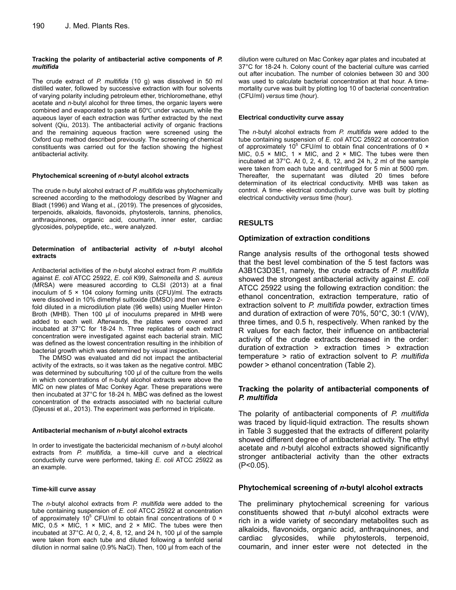## **Tracking the polarity of antibacterial active components of** *P. multifida*

The crude extract of *P. multifida* (10 g) was dissolved in 50 ml distilled water, followed by successive extraction with four solvents of varying polarity including petroleum ether, trichloromethane, ethyl acetate and *n*-butyl alcohol for three times, the organic layers were combined and evaporated to paste at 60℃ under vacuum, while the aqueous layer of each extraction was further extracted by the next solvent (Qiu, 2013). The antibacterial activity of organic fractions and the remaining aqueous fraction were screened using the Oxford cup method described previously. The screening of chemical constituents was carried out for the faction showing the highest antibacterial activity.

## **Phytochemical screening of** *n***-butyl alcohol extracts**

The crude n-butyl alcohol extract of *P. multifida* was phytochemically screened according to the methodology described by Wagner and Bladt (1996) and Wang et al., (2019). The presences of glycosides, terpenoids, alkaloids, flavonoids, phytosterols, tannins, phenolics, anthraquinones, organic acid, coumarin, inner ester, cardiac glycosides, polypeptide, etc., were analyzed.

## **Determination of antibacterial activity of** *n***-butyl alcohol extracts**

Antibacterial activities of the *n*-butyl alcohol extract from *P. multifida* against *E. coli* ATCC 25922, *E. coli* K99, *Salmonella* and *S. aureus* (MRSA) were measured according to CLSI (2013) at a final inoculum of  $5 \times 104$  colony forming units (CFU)/ml. The extracts were dissolved in 10% dimethyl sulfoxide (DMSO) and then were 2 fold diluted in a microdilution plate (96 wells) using Mueller Hinton Broth (MHB). Then 100 μl of inoculums prepared in MHB were added to each well. Afterwards, the plates were covered and incubated at 37°C for 18-24 h. Three replicates of each extract concentration were investigated against each bacterial strain. MIC was defined as the lowest concentration resulting in the inhibition of bacterial growth which was determined by visual inspection.

The DMSO was evaluated and did not impact the antibacterial activity of the extracts, so it was taken as the negative control. MBC was determined by subculturing 100 μl of the culture from the wells in which concentrations of n-butyl alcohol extracts were above the MIC on new plates of Mac Conkey Agar. These preparations were then incubated at 37°C for 18-24 h. MBC was defined as the lowest concentration of the extracts associated with no bacterial culture (Djeussi et al., 2013). The experiment was performed in triplicate.

## **Antibacterial mechanism of** *n***-butyl alcohol extracts**

In order to investigate the bactericidal mechanism of *n*-butyl alcohol extracts from *P. multifida,* a time–kill curve and a electrical conductivity curve were performed, taking *E. coli* ATCC 25922 as an example.

## **Time-kill curve assay**

The *n*-butyl alcohol extracts from *P. multifida* were added to the tube containing suspension of *E. coli* ATCC 25922 at concentration of approximately 10 $^{\circ}$  CFU/ml to obtain final concentrations of 0  $\times$ MIC,  $0.5 \times$  MIC, 1  $\times$  MIC, and 2  $\times$  MIC. The tubes were then incubated at 37°C. At 0, 2, 4, 8, 12, and 24 h, 100 μl of the sample were taken from each tube and diluted following a tenfold serial dilution in normal saline (0.9% NaCl). Then, 100 μl from each of the

dilution were cultured on Mac Conkey agar plates and incubated at 37°C for 18-24 h. Colony count of the bacterial culture was carried out after incubation. The number of colonies between 30 and 300 was used to calculate bacterial concentration at that hour. A timemortality curve was built by plotting log 10 of bacterial concentration (CFU/ml) *versus* time (hour).

## **Electrical conductivity curve assay**

The *n*-butyl alcohol extracts from *P. multifida* were added to the tube containing suspension of *E. coli* ATCC 25922 at concentration of approximately 10 $^{\circ}$  CFU/ml to obtain final concentrations of 0  $\times$ MIC,  $0.5 \times$  MIC, 1  $\times$  MIC, and 2  $\times$  MIC. The tubes were then incubated at 37°C. At 0, 2, 4, 8, 12, and 24 h, 2 ml of the sample were taken from each tube and [centrifuged](file:///C:/Program%20Files%20(x86)/Youdao/Dict/7.5.2.0/resultui/dict/) for 5 min at 5000 rpm. Thereafter, the [supernatant](javascript:;) was diluted 20 times before determination of its electrical conductivity. MHB was taken as control. A time- electrical conductivity curve was built by plotting electrical conductivity *versus* time (hour).

# **RESULTS**

# **Optimization of extraction conditions**

Range analysis results of the orthogonal tests showed that the best level combination of the 5 test factors was A3B1C3D3E1, namely, the crude extracts of *P. multifida* showed the strongest antibacterial activity against *E. coli* ATCC 25922 using the following extraction condition: the ethanol concentration, extraction temperature, ratio of extraction solvent to *P. multifida* powder, extraction times and duration of extraction of were 70%, 50°C, 30:1 (V/W), three times, and 0.5 h, respectively. When ranked by the R values for each factor, their influence on antibacterial activity of the crude extracts decreased in the order: duration of extraction > extraction times > extraction temperature > ratio of extraction solvent to *P. multifida* powder > ethanol concentration (Table 2).

# **Tracking the polarity of antibacterial components of**  *P. multifida*

The polarity of antibacterial components of *P. multifida* was traced by liquid-liquid extraction. The results shown in Table 3 suggested that the extracts of different polarity showed different degree of antibacterial activity. The ethyl acetate and *n*-butyl alcohol extracts showed significantly stronger antibacterial activity than the other extracts (P<0.05).

# **Phytochemical screening of** *n***-butyl alcohol extracts**

The preliminary phytochemical screening for various constituents showed that *n*-butyl alcohol extracts were rich in a wide variety of secondary metabolites such as alkaloids, flavonoids, organic acid, anthraquinones, and cardiac glycosides, while phytosterols, terpenoid, coumarin, and inner ester were not detected in the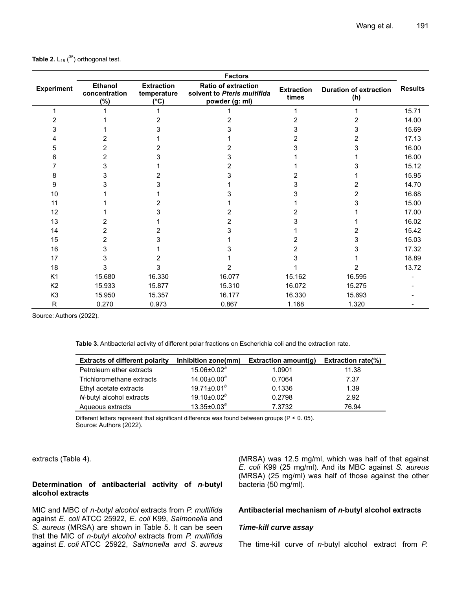|                   | <b>Factors</b>                            |                                                  |                                                                             |                            |                                      |                |
|-------------------|-------------------------------------------|--------------------------------------------------|-----------------------------------------------------------------------------|----------------------------|--------------------------------------|----------------|
| <b>Experiment</b> | <b>Ethanol</b><br>concentration<br>$(\%)$ | <b>Extraction</b><br>temperature<br>$(^\circ C)$ | <b>Ratio of extraction</b><br>solvent to Pteris multifida<br>powder (g: ml) | <b>Extraction</b><br>times | <b>Duration of extraction</b><br>(h) | <b>Results</b> |
|                   |                                           |                                                  |                                                                             |                            |                                      | 15.71          |
|                   |                                           |                                                  |                                                                             |                            | 2                                    | 14.00          |
|                   |                                           |                                                  |                                                                             |                            | 3                                    | 15.69          |
|                   |                                           |                                                  |                                                                             |                            |                                      | 17.13          |
|                   |                                           |                                                  |                                                                             |                            | 3                                    | 16.00          |
|                   |                                           |                                                  |                                                                             |                            |                                      | 16.00          |
|                   |                                           |                                                  |                                                                             |                            |                                      | 15.12          |
|                   |                                           |                                                  |                                                                             |                            |                                      | 15.95          |
| 9                 |                                           |                                                  |                                                                             |                            |                                      | 14.70          |
| 10                |                                           |                                                  |                                                                             |                            | 2                                    | 16.68          |
| 11                |                                           |                                                  |                                                                             |                            | 3                                    | 15.00          |
| 12                |                                           |                                                  |                                                                             |                            |                                      | 17.00          |
| 13                |                                           |                                                  |                                                                             |                            |                                      | 16.02          |
| 14                |                                           |                                                  |                                                                             |                            |                                      | 15.42          |
| 15                |                                           |                                                  |                                                                             |                            | 3                                    | 15.03          |
| 16                |                                           |                                                  |                                                                             |                            |                                      | 17.32          |
| 17                |                                           |                                                  |                                                                             |                            |                                      | 18.89          |
| 18                |                                           |                                                  | 2                                                                           |                            | 2                                    | 13.72          |
| K <sub>1</sub>    | 15.680                                    | 16.330                                           | 16.077                                                                      | 15.162                     | 16.595                               |                |
| K <sub>2</sub>    | 15.933                                    | 15.877                                           | 15.310                                                                      | 16.072                     | 15.275                               |                |
| K <sub>3</sub>    | 15.950                                    | 15.357                                           | 16.177                                                                      | 16.330                     | 15.693                               |                |
| ${\sf R}$         | 0.270                                     | 0.973                                            | 0.867                                                                       | 1.168                      | 1.320                                |                |

Source: Authors (2022).

**Table 3.** Antibacterial activity of different polar fractions on Escherichia coli and the extraction rate.

| <b>Extracts of different polarity</b> | Inhibition zone(mm) | Extraction amount(q) | <b>Extraction rate(%)</b> |
|---------------------------------------|---------------------|----------------------|---------------------------|
| Petroleum ether extracts              | $15.06 \pm 0.02^a$  | 1.0901               | 11.38                     |
| Trichloromethane extracts             | $14.00 \pm 0.00^a$  | 0.7064               | 7.37                      |
| Ethyl acetate extracts                | $19.71 \pm 0.01^b$  | 0.1336               | 1.39                      |
| N-butyl alcohol extracts              | $19.10 \pm 0.02^b$  | 0.2798               | 2.92                      |
| Aqueous extracts                      | $13.35 \pm 0.03^a$  | 7.3732               | 76.94                     |

Different letters represent that significant difference was found between groups (P < 0. 05). Source: Authors (2022).

extracts (Table 4).

## **Determination of antibacterial activity of** *n***-butyl alcohol extracts**

MIC and MBC of *n-butyl alcohol* extracts from *P. multifida* against *E. coli* ATCC 25922, *E. coli* K99, *Salmonella* and *S. aureus* (MRSA) are shown in Table 5. It can be seen that the MIC of *n-butyl alcohol* extracts from *P. multifida* against *E. coli* ATCC 25922, *Salmonella and S. aureus*

(MRSA) was 12.5 mg/ml, which was half of that against *E. coli* K99 (25 mg/ml). And its MBC against *S. aureus* (MRSA) (25 mg/ml) was half of those against the other bacteria (50 mg/ml).

## **Antibacterial mechanism of** *n***-butyl alcohol extracts**

# *Time-kill curve assay*

The time-kill curve of *n*-butyl alcohol extract from *P.*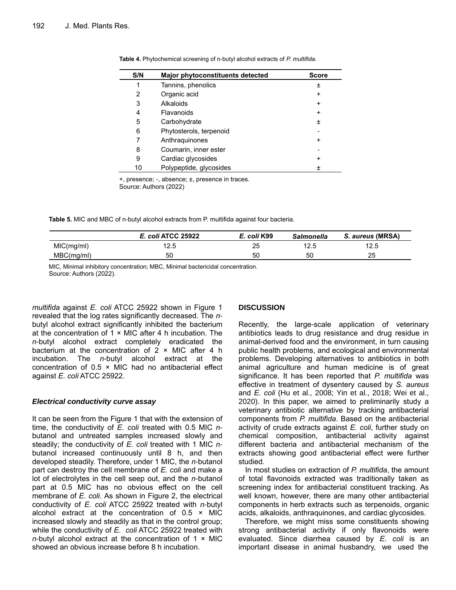| S/N | Major phytoconstituents detected | <b>Score</b> |
|-----|----------------------------------|--------------|
|     | Tannins, phenolics               | 土            |
| 2   | Organic acid                     | +            |
| 3   | Alkaloids                        | $\ddot{}$    |
| 4   | Flavanoids                       | +            |
| 5   | Carbohydrate                     | 土            |
| 6   | Phytosterols, terpenoid          |              |
|     | Anthraquinones                   | +            |
| 8   | Coumarin, inner ester            |              |
| 9   | Cardiac glycosides               | +            |
| 10  | Polypeptide, glycosides          | Ŧ            |

|  | Table 4. Phytochemical screening of n-butyl alcohol extracts of P. multifida. |
|--|-------------------------------------------------------------------------------|
|--|-------------------------------------------------------------------------------|

+, presence; -, absence; ±, presence in traces.

Source: Authors (2022)

**Table 5.** MIC and MBC of n-butyl alcohol extracts from P. multifida against four bacteria.

|            | E. coli ATCC 25922 | E. coli K99 | <b>Salmonella</b> | S. aureus (MRSA) |
|------------|--------------------|-------------|-------------------|------------------|
| MIC(mg/ml) | 1つ に<br>ت          | 25          | 12.5              | 1つ に<br>ں ک      |
| MBC(mg/ml) | 50                 | 50          | 50                | 25               |

MIC, Minimal inhibitory concentration; MBC, Minimal bactericidal concentration. Source: Authors (2022).

*multifida* against *E. coli* ATCC 25922 shown in Figure 1 revealed that the log rates significantly decreased. The *n*butyl alcohol extract significantly inhibited the bacterium at the concentration of  $1 \times$  MIC after 4 h incubation. The *n*-butyl alcohol extract completely eradicated the bacterium at the concentration of  $2 \times$  MIC after 4 h incubation. The *n*-butyl alcohol extract at the concentration of 0.5 × MIC had no antibacterial effect against *E. coli* ATCC 25922.

# *Electrical conductivity curve assay*

It can be seen from the Figure 1 that with the extension of time, the conductivity of *E. coli* treated with 0.5 MIC *n*butanol and untreated samples increased slowly and steadily; the conductivity of *E. coli* treated with 1 MIC *n*butanol increased continuously until 8 h, and then developed steadily. Therefore, under 1 MIC, the *n*-butanol part can destroy the cell membrane of *E. coli* and make a lot of electrolytes in the cell seep out, and the *n*-butanol part at 0.5 MIC has no obvious effect on the cell membrane of *E. coli*. As shown in Figure 2, the electrical conductivity of *E. coli* ATCC 25922 treated with *n*-butyl alcohol extract at the concentration of  $0.5 \times$  MIC increased slowly and steadily as that in the control group; while the conductivity of *E. coli* ATCC 25922 treated with *n*-butyl alcohol extract at the concentration of 1 × MIC showed an obvious increase before 8 h incubation.

# **DISCUSSION**

Recently, the large-scale application of veterinary antibiotics leads to drug resistance and drug residue in animal-derived food and the environment, in turn causing public health problems, and ecological and environmental problems. Developing alternatives to antibiotics in both animal agriculture and human medicine is of great significance. It has been reported that *P. multifida* was effective in treatment of dysentery caused by *S. aureus* and *E. coli* (Hu et al., 2008; Yin et al., 2018; Wei et al., 2020). In this paper, we aimed to preliminarily study a veterinary antibiotic alternative by tracking antibacterial components from *P. multifida*. Based on the antibacterial activity of crude extracts against *E. coli*, further study on chemical composition, antibacterial activity against different bacteria and antibacterial mechanism of the extracts showing good antibacterial effect were further studied.

In most studies on extraction of *P. multifida*, the amount of total flavonoids extracted was traditionally taken as screening index for antibacterial [constituent](file:///C:/Program%20Files%20(x86)/Youdao/Dict/7.5.2.0/resultui/dict/) tracking. As well known, however, there are many other antibacterial components in herb extracts such as terpenoids, organic acids, alkaloids, anthraquinones, and cardiac glycosides.

Therefore, we might miss some [constituents](file:///C:/Program%20Files%20(x86)/Youdao/Dict/7.5.2.0/resultui/dict/) showing strong antibacterial activity if only flavonoids were evaluated. Since [diarrhea](file:///C:/Program%20Files%20(x86)/Youdao/Dict/7.5.2.0/resultui/dict/) caused by *E. coli* is an important disease in animal husbandry, we used the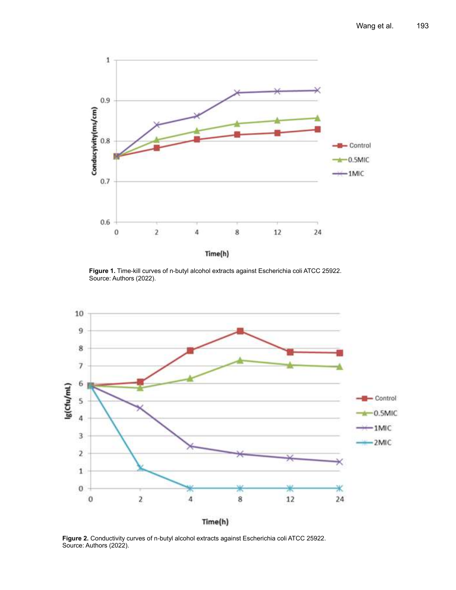

**Figure 1.** Time-kill curves of n-butyl alcohol extracts against Escherichia coli ATCC 25922. Source: Authors (2022).



**Figure 2.** Conductivity curves of n-butyl alcohol extracts against Escherichia coli ATCC 25922. Source: Authors (2022).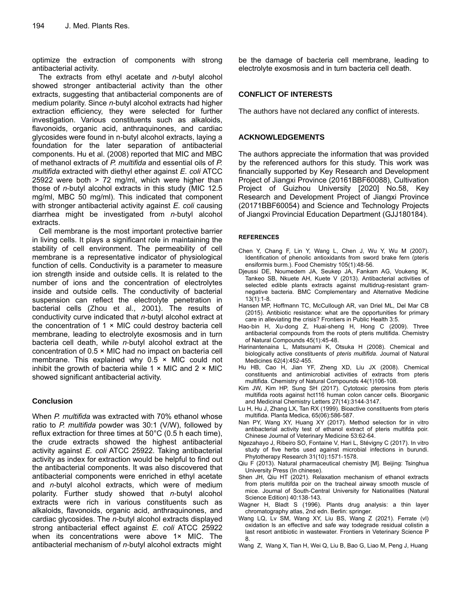optimize the extraction of components with strong antibacterial activity.

The extracts from ethyl acetate and *n*-butyl alcohol showed stronger antibacterial activity than the other extracts, suggesting that antibacterial components are of medium polarity. Since *n*-butyl alcohol extracts had higher extraction efficiency, they were selected for further investigation. Various constituents such as alkaloids, flavonoids, organic acid, anthraquinones, and cardiac glycosides were found in n-butyl alcohol extracts, laying a foundation for the later separation of antibacterial components. Hu et al. (2008) reported that MIC and MBC of methanol extracts of *P. multifida* and essential oils of *P. multifida* extracted with diethyl ether against *E. coli* ATCC 25922 were both > 72 mg/ml, which were higher than those of *n*-butyl alcohol extracts in this study (MIC 12.5 mg/ml, MBC 50 mg/ml). This indicated that component with stronger antibacterial activity against *E. coli* causing [diarrhea](file:///C:/Program%20Files%20(x86)/Youdao/Dict/7.5.2.0/resultui/dict/) might be investigated from *n*-butyl alcohol extracts.

Cell membrane is the most important protective barrier in living cells. It plays a significant role in maintaining the stability of cell environment. The permeability of cell membrane is a representative indicator of physiological function of cells. Conductivity is a parameter to measure ion strength inside and outside cells. It is related to the number of ions and the concentration of electrolytes inside and outside cells. The conductivity of bacterial suspension can reflect the electrolyte penetration in bacterial cells (Zhou et al., 2001). The results of conductivity curve indicated that *n*-butyl alcohol extract at the concentration of  $1 \times$  MIC could destroy bacteria cell membrane, leading to electrolyte exosmosis and in turn bacteria cell death, while *n*-butyl alcohol extract at the concentration of 0.5 × MIC had no impact on bacteria cell membrane. This explained why  $0.5 \times$  MIC could not inhibit the growth of bacteria while  $1 \times$  MIC and  $2 \times$  MIC showed significant antibacterial activity.

# **Conclusion**

When *P. multifida* was extracted with 70% ethanol whose ratio to *P. multifida* powder was 30:1 (V/W), followed by reflux extraction for three times at 50°C (0.5 h each time), the crude extracts showed the highest antibacterial activity against *E. coli* ATCC 25922. Taking antibacterial activity as index for extraction would be helpful to find out the antibacterial components. It was also discovered that antibacterial components were enriched in ethyl acetate and *n*-butyl alcohol extracts, which were of medium polarity. Further study showed that *n*-butyl alcohol extracts were rich in various [constituents](javascript:;) such as alkaloids, flavonoids, organic acid, anthraquinones, and cardiac glycosides. The *n*-butyl alcohol extracts displayed strong antibacterial effect against *E. coli* ATCC 25922 when its concentrations were above 1× MIC. The antibacterial mechanism of *n*-butyl alcohol extracts might be the damage of bacteria cell membrane, leading to electrolyte exosmosis and in turn bacteria cell death.

# **CONFLICT OF INTERESTS**

The authors have not declared any conflict of interests.

# **ACKNOWLEDGEMENTS**

The authors appreciate the information that was provided by the referenced authors for this study. This work was financially supported by Key Research and Development Project of Jiangxi Province (20161BBF60088), Cultivation Project of Guizhou University [2020] No.58, Key Research and Development Project of Jiangxi Province (20171BBF60054) and Science and Technology Projects of Jiangxi Provincial Education Department (GJJ180184).

## **REFERENCES**

- Chen Y, Chang F, Lin Y, Wang L, Chen J, Wu Y, Wu M (2007). Identification of phenolic antioxidants from sword brake fern (pteris ensiformis burm.). Food Chemistry 105(1):48-56.
- Djeussi DE, Noumedem JA, Seukep JA, Fankam AG, Voukeng IK, Tankeo SB, Nkuete AH, Kuete V (2013). Antibacterial activities of selected edible plants extracts against multidrug-resistant gramnegative bacteria. BMC Complementary and Alternative Medicine 13(1):1-8.
- Hansen MP, Hoffmann TC, McCullough AR, van Driel ML, Del Mar CB (2015). Antibiotic resistance: what are the opportunities for primary care in alleviating the crisis? Frontiers in Public Health 3:5.
- Hao-bin H, Xu-dong Z, Huai-sheng H, Hong C (2009). Three antibacterial compounds from the roots of pteris multifida. Chemistry of Natural Compounds 45(1):45-48.
- Harinantenaina L, Matsunami K, Otsuka H (2008). Chemical and biologically active constituents of *pteris multifida*. Journal of Natural Medicines 62(4):452-455.
- Hu HB, Cao H, Jian YF, Zheng XD, Liu JX (2008). Chemical constituents and antimicrobial activities of extracts from pteris multifida. Chemistry of Natural Compounds 44(1)106-108.
- Kim JW, Kim HP, Sung SH (2017). Cytotoxic pterosins from pteris multifida roots against hct116 human colon cancer cells. Bioorganic and Medicinal Chemistry Letters 27(14):3144-3147.
- Lu H, Hu J, Zhang LX, Tan RX (1999). Bioactive constituents from pteris multifida. Planta Medica, 65(06):586-587.
- Nan PY, Wang XY, Huang XY (2017). Method selection for in vitro antibacterial activity test of ethanol extract of pteris multifda poir. Chinese Journal of Veterinary Medicine 53:62-64.
- Ngezahayo J, Ribeiro SO, Fontaine V, Hari L, Stévigny C (2017). In vitro study of five herbs used against microbial infections in burundi. Phytotherapy Research 31(10):1571-1578.
- Qiu F (2013). Natural pharmaceutical chemistry [M]. Beijing: Tsinghua University Press (In chinese).
- Shen JH, Qiu HT (2021). Relaxation mechanism of ethanol extracts from pteris multifda poir on the tracheal airway smooth muscle of mice. Journal of South-Central University for Nationalities (Natural Science Edition) 40:138-143.
- Wagner H, Bladt S (1996). Plants drug analysis: a thin layer chromatography atlas, 2nd edn. Berlin: springer.
- Wang LQ, Lv SM, Wang XY, Liu BS, Wang Z (2021). Ferrate (vl) oxidation ls an effective and safe way todegrade residual colistin a last resort antibiotic in wastewater. Frontiers in Veterinary Science P 8.
- Wang Z, Wang X, Tian H, Wei Q, Liu B, Bao G, Liao M, Peng J, Huang